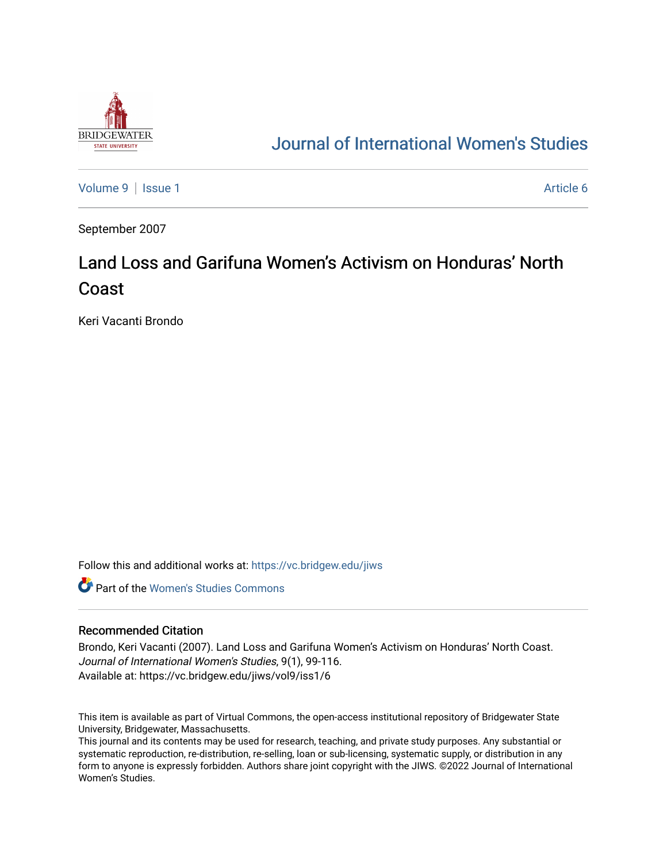

## [Journal of International Women's Studies](https://vc.bridgew.edu/jiws)

[Volume 9](https://vc.bridgew.edu/jiws/vol9) | [Issue 1](https://vc.bridgew.edu/jiws/vol9/iss1) Article 6

September 2007

# Land Loss and Garifuna Women's Activism on Honduras' North Coast

Keri Vacanti Brondo

Follow this and additional works at: [https://vc.bridgew.edu/jiws](https://vc.bridgew.edu/jiws?utm_source=vc.bridgew.edu%2Fjiws%2Fvol9%2Fiss1%2F6&utm_medium=PDF&utm_campaign=PDFCoverPages)

**C** Part of the Women's Studies Commons

#### Recommended Citation

Brondo, Keri Vacanti (2007). Land Loss and Garifuna Women's Activism on Honduras' North Coast. Journal of International Women's Studies, 9(1), 99-116. Available at: https://vc.bridgew.edu/jiws/vol9/iss1/6

This item is available as part of Virtual Commons, the open-access institutional repository of Bridgewater State University, Bridgewater, Massachusetts.

This journal and its contents may be used for research, teaching, and private study purposes. Any substantial or systematic reproduction, re-distribution, re-selling, loan or sub-licensing, systematic supply, or distribution in any form to anyone is expressly forbidden. Authors share joint copyright with the JIWS. ©2022 Journal of International Women's Studies.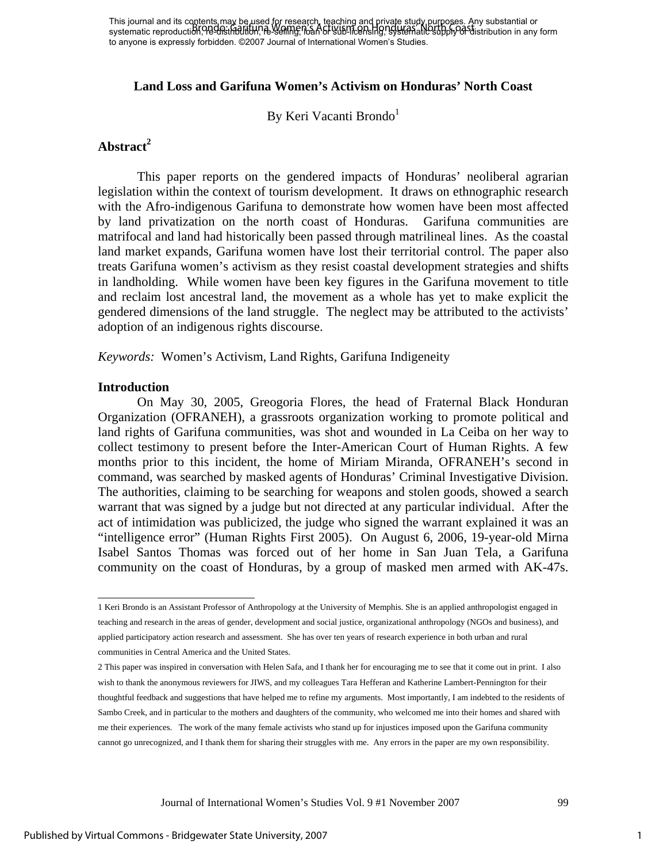## **Land Loss and Garifuna Women's Activism on Honduras' North Coast**

By Keri Vacanti Brondo<sup>1</sup>

## **Abstract2**

This paper reports on the gendered impacts of Honduras' neoliberal agrarian legislation within the context of tourism development. It draws on ethnographic research with the Afro-indigenous Garifuna to demonstrate how women have been most affected by land privatization on the north coast of Honduras. Garifuna communities are matrifocal and land had historically been passed through matrilineal lines. As the coastal land market expands, Garifuna women have lost their territorial control. The paper also treats Garifuna women's activism as they resist coastal development strategies and shifts in landholding. While women have been key figures in the Garifuna movement to title and reclaim lost ancestral land, the movement as a whole has yet to make explicit the gendered dimensions of the land struggle. The neglect may be attributed to the activists' adoption of an indigenous rights discourse.

*Keywords:* Women's Activism, Land Rights, Garifuna Indigeneity

#### **Introduction**

On May 30, 2005, Greogoria Flores, the head of Fraternal Black Honduran Organization (OFRANEH), a grassroots organization working to promote political and land rights of Garifuna communities, was shot and wounded in La Ceiba on her way to collect testimony to present before the Inter-American Court of Human Rights. A few months prior to this incident, the home of Miriam Miranda, OFRANEH's second in command, was searched by masked agents of Honduras' Criminal Investigative Division. The authorities, claiming to be searching for weapons and stolen goods, showed a search warrant that was signed by a judge but not directed at any particular individual. After the act of intimidation was publicized, the judge who signed the warrant explained it was an "intelligence error" (Human Rights First 2005). On August 6, 2006, 19-year-old Mirna Isabel Santos Thomas was forced out of her home in San Juan Tela, a Garifuna community on the coast of Honduras, by a group of masked men armed with AK-47s.

Journal of International Women's Studies Vol. 9 #1 November 2007 99

 1 Keri Brondo is an Assistant Professor of Anthropology at the University of Memphis. She is an applied anthropologist engaged in teaching and research in the areas of gender, development and social justice, organizational anthropology (NGOs and business), and applied participatory action research and assessment. She has over ten years of research experience in both urban and rural communities in Central America and the United States.

<sup>2</sup> This paper was inspired in conversation with Helen Safa, and I thank her for encouraging me to see that it come out in print. I also wish to thank the anonymous reviewers for JIWS, and my colleagues Tara Hefferan and Katherine Lambert-Pennington for their thoughtful feedback and suggestions that have helped me to refine my arguments. Most importantly, I am indebted to the residents of Sambo Creek, and in particular to the mothers and daughters of the community, who welcomed me into their homes and shared with me their experiences. The work of the many female activists who stand up for injustices imposed upon the Garifuna community cannot go unrecognized, and I thank them for sharing their struggles with me. Any errors in the paper are my own responsibility.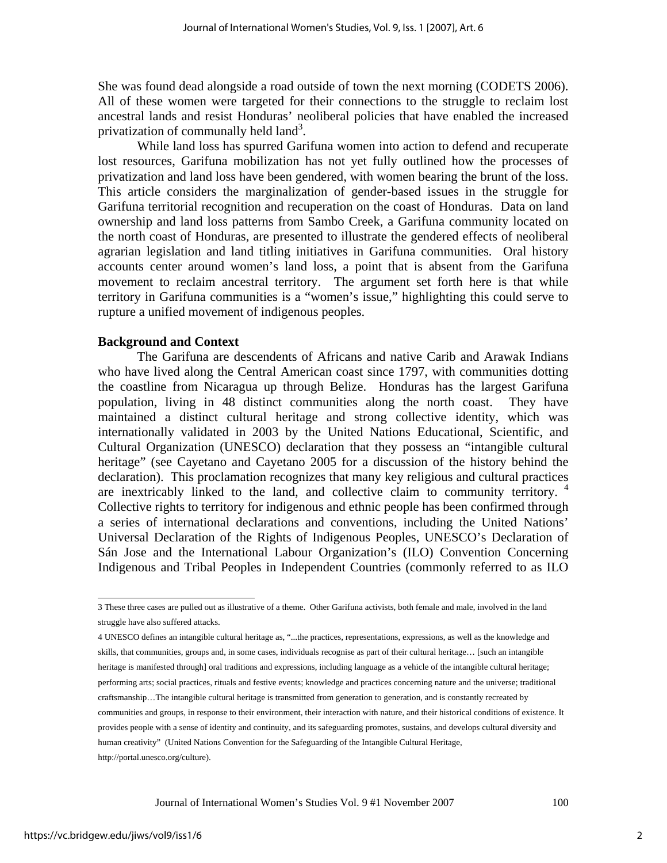She was found dead alongside a road outside of town the next morning (CODETS 2006). All of these women were targeted for their connections to the struggle to reclaim lost ancestral lands and resist Honduras' neoliberal policies that have enabled the increased privatization of communally held land<sup>3</sup>.

While land loss has spurred Garifuna women into action to defend and recuperate lost resources, Garifuna mobilization has not yet fully outlined how the processes of privatization and land loss have been gendered, with women bearing the brunt of the loss. This article considers the marginalization of gender-based issues in the struggle for Garifuna territorial recognition and recuperation on the coast of Honduras. Data on land ownership and land loss patterns from Sambo Creek, a Garifuna community located on the north coast of Honduras, are presented to illustrate the gendered effects of neoliberal agrarian legislation and land titling initiatives in Garifuna communities. Oral history accounts center around women's land loss, a point that is absent from the Garifuna movement to reclaim ancestral territory. The argument set forth here is that while territory in Garifuna communities is a "women's issue," highlighting this could serve to rupture a unified movement of indigenous peoples.

## **Background and Context**

The Garifuna are descendents of Africans and native Carib and Arawak Indians who have lived along the Central American coast since 1797, with communities dotting the coastline from Nicaragua up through Belize. Honduras has the largest Garifuna population, living in 48 distinct communities along the north coast. They have maintained a distinct cultural heritage and strong collective identity, which was internationally validated in 2003 by the United Nations Educational, Scientific, and Cultural Organization (UNESCO) declaration that they possess an "intangible cultural heritage" (see Cayetano and Cayetano 2005 for a discussion of the history behind the declaration). This proclamation recognizes that many key religious and cultural practices are inextricably linked to the land, and collective claim to community territory.<sup>4</sup> Collective rights to territory for indigenous and ethnic people has been confirmed through a series of international declarations and conventions, including the United Nations' Universal Declaration of the Rights of Indigenous Peoples, UNESCO's Declaration of Sán Jose and the International Labour Organization's (ILO) Convention Concerning Indigenous and Tribal Peoples in Independent Countries (commonly referred to as ILO

Journal of International Women's Studies Vol. 9 #1 November 2007 100

 3 These three cases are pulled out as illustrative of a theme. Other Garifuna activists, both female and male, involved in the land struggle have also suffered attacks.

<sup>4</sup> UNESCO defines an intangible cultural heritage as, "...the practices, representations, expressions, as well as the knowledge and skills, that communities, groups and, in some cases, individuals recognise as part of their cultural heritage… [such an intangible heritage is manifested through] oral traditions and expressions, including language as a vehicle of the intangible cultural heritage; performing arts; social practices, rituals and festive events; knowledge and practices concerning nature and the universe; traditional craftsmanship…The intangible cultural heritage is transmitted from generation to generation, and is constantly recreated by communities and groups, in response to their environment, their interaction with nature, and their historical conditions of existence. It provides people with a sense of identity and continuity, and its safeguarding promotes, sustains, and develops cultural diversity and human creativity" (United Nations Convention for the Safeguarding of the Intangible Cultural Heritage, http://portal.unesco.org/culture).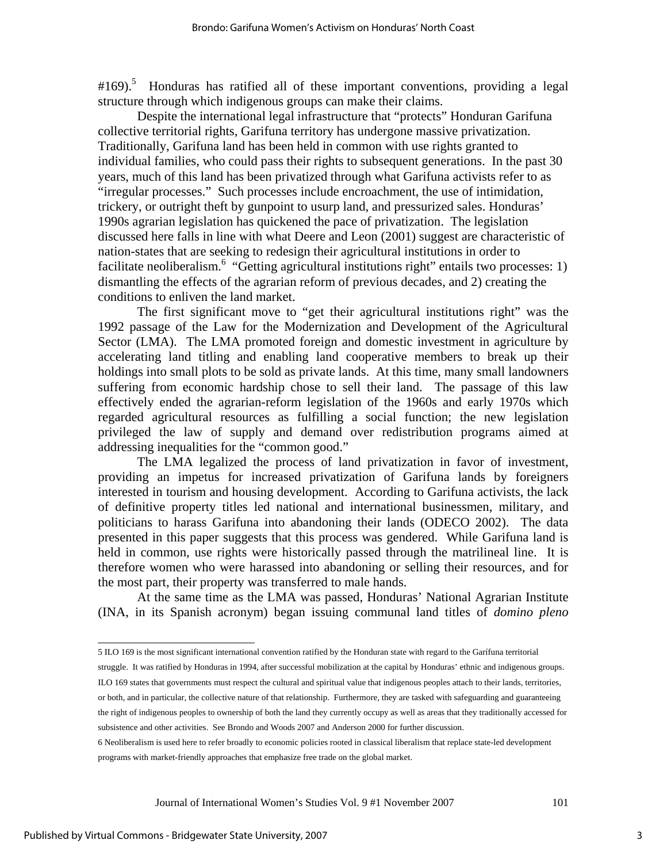#169).<sup>5</sup> Honduras has ratified all of these important conventions, providing a legal structure through which indigenous groups can make their claims.

Despite the international legal infrastructure that "protects" Honduran Garifuna collective territorial rights, Garifuna territory has undergone massive privatization. Traditionally, Garifuna land has been held in common with use rights granted to individual families, who could pass their rights to subsequent generations. In the past 30 years, much of this land has been privatized through what Garifuna activists refer to as "irregular processes." Such processes include encroachment, the use of intimidation, trickery, or outright theft by gunpoint to usurp land, and pressurized sales. Honduras' 1990s agrarian legislation has quickened the pace of privatization. The legislation discussed here falls in line with what Deere and Leon (2001) suggest are characteristic of nation-states that are seeking to redesign their agricultural institutions in order to facilitate neoliberalism.<sup>6</sup> "Getting agricultural institutions right" entails two processes: 1) dismantling the effects of the agrarian reform of previous decades, and 2) creating the conditions to enliven the land market.

The first significant move to "get their agricultural institutions right" was the 1992 passage of the Law for the Modernization and Development of the Agricultural Sector (LMA). The LMA promoted foreign and domestic investment in agriculture by accelerating land titling and enabling land cooperative members to break up their holdings into small plots to be sold as private lands. At this time, many small landowners suffering from economic hardship chose to sell their land. The passage of this law effectively ended the agrarian-reform legislation of the 1960s and early 1970s which regarded agricultural resources as fulfilling a social function; the new legislation privileged the law of supply and demand over redistribution programs aimed at addressing inequalities for the "common good."

The LMA legalized the process of land privatization in favor of investment, providing an impetus for increased privatization of Garifuna lands by foreigners interested in tourism and housing development. According to Garifuna activists, the lack of definitive property titles led national and international businessmen, military, and politicians to harass Garifuna into abandoning their lands (ODECO 2002). The data presented in this paper suggests that this process was gendered. While Garifuna land is held in common, use rights were historically passed through the matrilineal line. It is therefore women who were harassed into abandoning or selling their resources, and for the most part, their property was transferred to male hands.

At the same time as the LMA was passed, Honduras' National Agrarian Institute (INA, in its Spanish acronym) began issuing communal land titles of *domino pleno* 

 5 ILO 169 is the most significant international convention ratified by the Honduran state with regard to the Garífuna territorial

struggle. It was ratified by Honduras in 1994, after successful mobilization at the capital by Honduras' ethnic and indigenous groups. ILO 169 states that governments must respect the cultural and spiritual value that indigenous peoples attach to their lands, territories,

or both, and in particular, the collective nature of that relationship. Furthermore, they are tasked with safeguarding and guaranteeing the right of indigenous peoples to ownership of both the land they currently occupy as well as areas that they traditionally accessed for subsistence and other activities. See Brondo and Woods 2007 and Anderson 2000 for further discussion.

<sup>6</sup> Neoliberalism is used here to refer broadly to economic policies rooted in classical liberalism that replace state-led development programs with market-friendly approaches that emphasize free trade on the global market.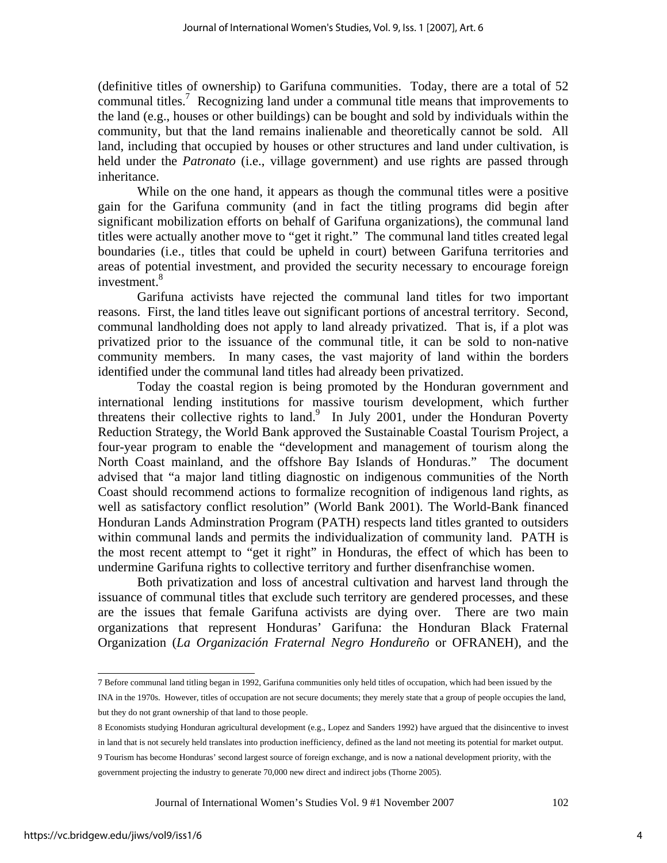(definitive titles of ownership) to Garifuna communities. Today, there are a total of 52 communal titles.<sup>7</sup> Recognizing land under a communal title means that improvements to the land (e.g., houses or other buildings) can be bought and sold by individuals within the community, but that the land remains inalienable and theoretically cannot be sold. All land, including that occupied by houses or other structures and land under cultivation, is held under the *Patronato* (i.e., village government) and use rights are passed through inheritance.

While on the one hand, it appears as though the communal titles were a positive gain for the Garifuna community (and in fact the titling programs did begin after significant mobilization efforts on behalf of Garifuna organizations), the communal land titles were actually another move to "get it right." The communal land titles created legal boundaries (i.e., titles that could be upheld in court) between Garifuna territories and areas of potential investment, and provided the security necessary to encourage foreign investment.<sup>8</sup>

Garifuna activists have rejected the communal land titles for two important reasons. First, the land titles leave out significant portions of ancestral territory. Second, communal landholding does not apply to land already privatized. That is, if a plot was privatized prior to the issuance of the communal title, it can be sold to non-native community members. In many cases, the vast majority of land within the borders identified under the communal land titles had already been privatized.

Today the coastal region is being promoted by the Honduran government and international lending institutions for massive tourism development, which further threatens their collective rights to land.<sup>9</sup> In July 2001, under the Honduran Poverty Reduction Strategy, the World Bank approved the Sustainable Coastal Tourism Project, a four-year program to enable the "development and management of tourism along the North Coast mainland, and the offshore Bay Islands of Honduras." The document advised that "a major land titling diagnostic on indigenous communities of the North Coast should recommend actions to formalize recognition of indigenous land rights, as well as satisfactory conflict resolution" (World Bank 2001). The World-Bank financed Honduran Lands Adminstration Program (PATH) respects land titles granted to outsiders within communal lands and permits the individualization of community land. PATH is the most recent attempt to "get it right" in Honduras, the effect of which has been to undermine Garifuna rights to collective territory and further disenfranchise women.

Both privatization and loss of ancestral cultivation and harvest land through the issuance of communal titles that exclude such territory are gendered processes, and these are the issues that female Garifuna activists are dying over. There are two main organizations that represent Honduras' Garifuna: the Honduran Black Fraternal Organization (*La Organización Fraternal Negro Hondureño* or OFRANEH), and the

Journal of International Women's Studies Vol. 9 #1 November 2007 102

 7 Before communal land titling began in 1992, Garifuna communities only held titles of occupation, which had been issued by the INA in the 1970s. However, titles of occupation are not secure documents; they merely state that a group of people occupies the land, but they do not grant ownership of that land to those people.

<sup>8</sup> Economists studying Honduran agricultural development (e.g., Lopez and Sanders 1992) have argued that the disincentive to invest in land that is not securely held translates into production inefficiency, defined as the land not meeting its potential for market output.

<sup>9</sup> Tourism has become Honduras' second largest source of foreign exchange, and is now a national development priority, with the government projecting the industry to generate 70,000 new direct and indirect jobs (Thorne 2005).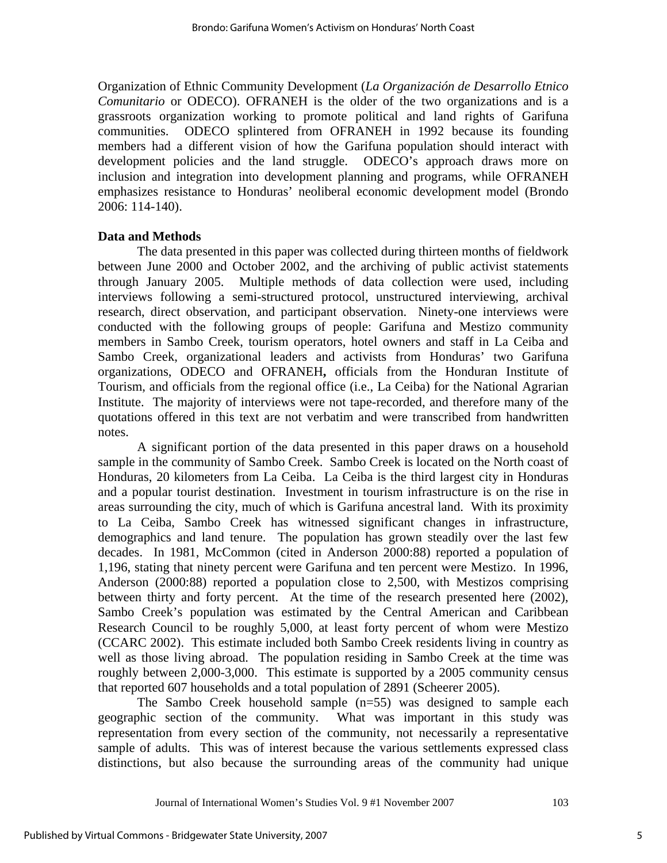Organization of Ethnic Community Development (*La Organización de Desarrollo Etnico Comunitario* or ODECO). OFRANEH is the older of the two organizations and is a grassroots organization working to promote political and land rights of Garifuna communities. ODECO splintered from OFRANEH in 1992 because its founding members had a different vision of how the Garifuna population should interact with development policies and the land struggle. ODECO's approach draws more on inclusion and integration into development planning and programs, while OFRANEH emphasizes resistance to Honduras' neoliberal economic development model (Brondo 2006: 114-140).

## **Data and Methods**

The data presented in this paper was collected during thirteen months of fieldwork between June 2000 and October 2002, and the archiving of public activist statements through January 2005. Multiple methods of data collection were used, including interviews following a semi-structured protocol, unstructured interviewing, archival research, direct observation, and participant observation. Ninety-one interviews were conducted with the following groups of people: Garifuna and Mestizo community members in Sambo Creek, tourism operators, hotel owners and staff in La Ceiba and Sambo Creek, organizational leaders and activists from Honduras' two Garifuna organizations, ODECO and OFRANEH**,** officials from the Honduran Institute of Tourism, and officials from the regional office (i.e., La Ceiba) for the National Agrarian Institute. The majority of interviews were not tape-recorded, and therefore many of the quotations offered in this text are not verbatim and were transcribed from handwritten notes.

A significant portion of the data presented in this paper draws on a household sample in the community of Sambo Creek. Sambo Creek is located on the North coast of Honduras, 20 kilometers from La Ceiba. La Ceiba is the third largest city in Honduras and a popular tourist destination. Investment in tourism infrastructure is on the rise in areas surrounding the city, much of which is Garifuna ancestral land. With its proximity to La Ceiba, Sambo Creek has witnessed significant changes in infrastructure, demographics and land tenure. The population has grown steadily over the last few decades. In 1981, McCommon (cited in Anderson 2000:88) reported a population of 1,196, stating that ninety percent were Garifuna and ten percent were Mestizo. In 1996, Anderson (2000:88) reported a population close to 2,500, with Mestizos comprising between thirty and forty percent. At the time of the research presented here (2002), Sambo Creek's population was estimated by the Central American and Caribbean Research Council to be roughly 5,000, at least forty percent of whom were Mestizo (CCARC 2002). This estimate included both Sambo Creek residents living in country as well as those living abroad. The population residing in Sambo Creek at the time was roughly between 2,000-3,000. This estimate is supported by a 2005 community census that reported 607 households and a total population of 2891 (Scheerer 2005).

The Sambo Creek household sample (n=55) was designed to sample each geographic section of the community. What was important in this study was representation from every section of the community, not necessarily a representative sample of adults. This was of interest because the various settlements expressed class distinctions, but also because the surrounding areas of the community had unique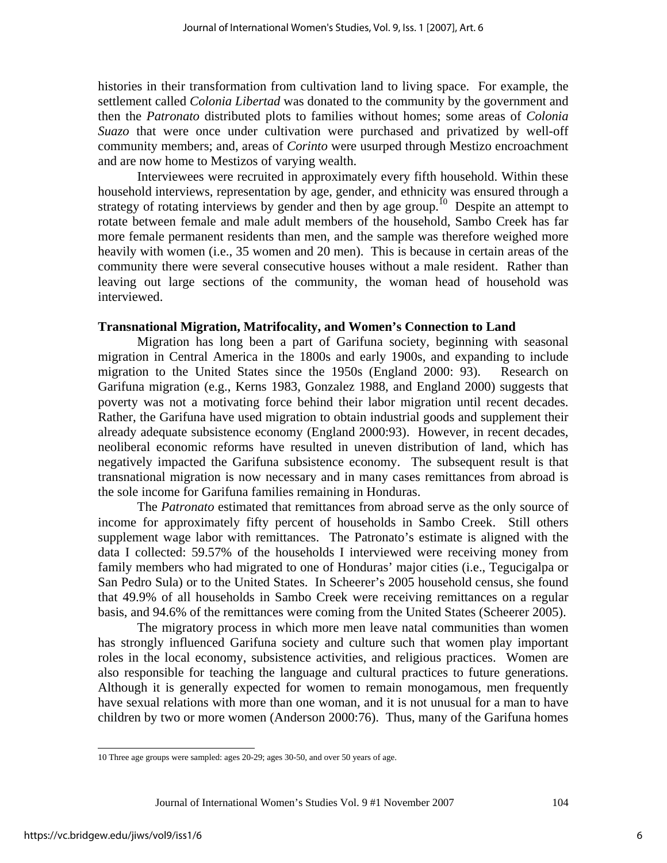histories in their transformation from cultivation land to living space. For example, the settlement called *Colonia Libertad* was donated to the community by the government and then the *Patronato* distributed plots to families without homes; some areas of *Colonia Suazo* that were once under cultivation were purchased and privatized by well-off community members; and, areas of *Corinto* were usurped through Mestizo encroachment and are now home to Mestizos of varying wealth.

Interviewees were recruited in approximately every fifth household. Within these household interviews, representation by age, gender, and ethnicity was ensured through a strategy of rotating interviews by gender and then by age group.<sup>10</sup> Despite an attempt to rotate between female and male adult members of the household, Sambo Creek has far more female permanent residents than men, and the sample was therefore weighed more heavily with women (i.e., 35 women and 20 men). This is because in certain areas of the community there were several consecutive houses without a male resident. Rather than leaving out large sections of the community, the woman head of household was interviewed.

## **Transnational Migration, Matrifocality, and Women's Connection to Land**

Migration has long been a part of Garifuna society, beginning with seasonal migration in Central America in the 1800s and early 1900s, and expanding to include migration to the United States since the 1950s (England 2000: 93). Research on Garifuna migration (e.g., Kerns 1983, Gonzalez 1988, and England 2000) suggests that poverty was not a motivating force behind their labor migration until recent decades. Rather, the Garifuna have used migration to obtain industrial goods and supplement their already adequate subsistence economy (England 2000:93). However, in recent decades, neoliberal economic reforms have resulted in uneven distribution of land, which has negatively impacted the Garifuna subsistence economy. The subsequent result is that transnational migration is now necessary and in many cases remittances from abroad is the sole income for Garifuna families remaining in Honduras.

The *Patronato* estimated that remittances from abroad serve as the only source of income for approximately fifty percent of households in Sambo Creek. Still others supplement wage labor with remittances. The Patronato's estimate is aligned with the data I collected: 59.57% of the households I interviewed were receiving money from family members who had migrated to one of Honduras' major cities (i.e., Tegucigalpa or San Pedro Sula) or to the United States. In Scheerer's 2005 household census, she found that 49.9% of all households in Sambo Creek were receiving remittances on a regular basis, and 94.6% of the remittances were coming from the United States (Scheerer 2005).

The migratory process in which more men leave natal communities than women has strongly influenced Garifuna society and culture such that women play important roles in the local economy, subsistence activities, and religious practices. Women are also responsible for teaching the language and cultural practices to future generations. Although it is generally expected for women to remain monogamous, men frequently have sexual relations with more than one woman, and it is not unusual for a man to have children by two or more women (Anderson 2000:76). Thus, many of the Garifuna homes

 10 Three age groups were sampled: ages 20-29; ages 30-50, and over 50 years of age.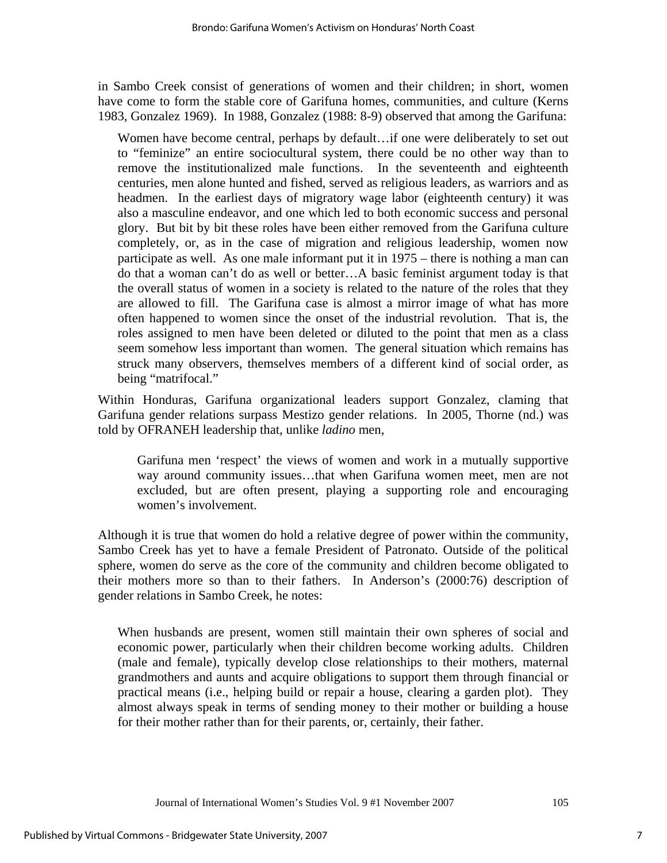in Sambo Creek consist of generations of women and their children; in short, women have come to form the stable core of Garifuna homes, communities, and culture (Kerns 1983, Gonzalez 1969). In 1988, Gonzalez (1988: 8-9) observed that among the Garifuna:

Women have become central, perhaps by default…if one were deliberately to set out to "feminize" an entire sociocultural system, there could be no other way than to remove the institutionalized male functions. In the seventeenth and eighteenth centuries, men alone hunted and fished, served as religious leaders, as warriors and as headmen. In the earliest days of migratory wage labor (eighteenth century) it was also a masculine endeavor, and one which led to both economic success and personal glory. But bit by bit these roles have been either removed from the Garifuna culture completely, or, as in the case of migration and religious leadership, women now participate as well. As one male informant put it in 1975 – there is nothing a man can do that a woman can't do as well or better…A basic feminist argument today is that the overall status of women in a society is related to the nature of the roles that they are allowed to fill. The Garifuna case is almost a mirror image of what has more often happened to women since the onset of the industrial revolution. That is, the roles assigned to men have been deleted or diluted to the point that men as a class seem somehow less important than women. The general situation which remains has struck many observers, themselves members of a different kind of social order, as being "matrifocal."

Within Honduras, Garifuna organizational leaders support Gonzalez, claming that Garifuna gender relations surpass Mestizo gender relations. In 2005, Thorne (nd.) was told by OFRANEH leadership that, unlike *ladino* men,

Garifuna men 'respect' the views of women and work in a mutually supportive way around community issues…that when Garifuna women meet, men are not excluded, but are often present, playing a supporting role and encouraging women's involvement.

Although it is true that women do hold a relative degree of power within the community, Sambo Creek has yet to have a female President of Patronato. Outside of the political sphere, women do serve as the core of the community and children become obligated to their mothers more so than to their fathers. In Anderson's (2000:76) description of gender relations in Sambo Creek, he notes:

When husbands are present, women still maintain their own spheres of social and economic power, particularly when their children become working adults. Children (male and female), typically develop close relationships to their mothers, maternal grandmothers and aunts and acquire obligations to support them through financial or practical means (i.e., helping build or repair a house, clearing a garden plot). They almost always speak in terms of sending money to their mother or building a house for their mother rather than for their parents, or, certainly, their father.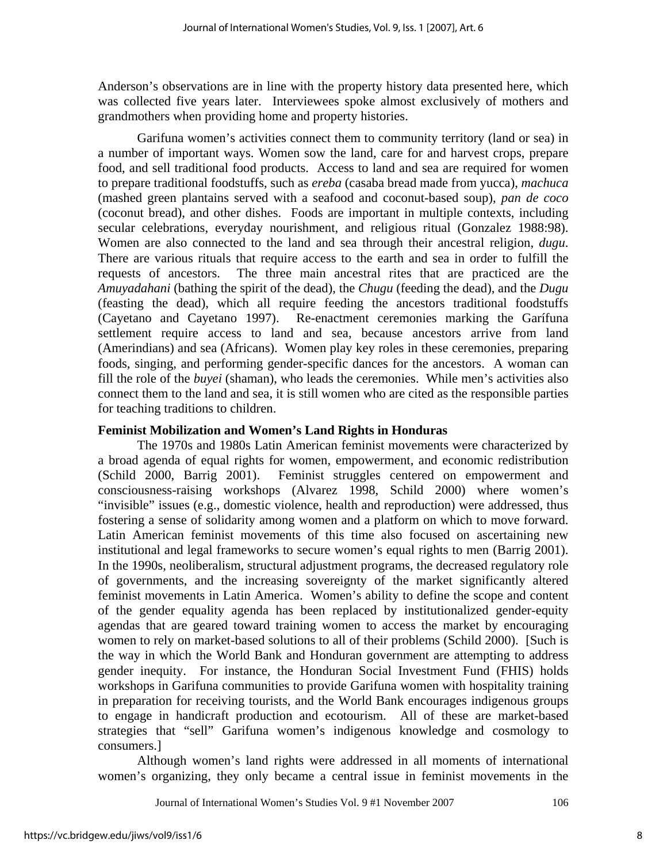Anderson's observations are in line with the property history data presented here, which was collected five years later. Interviewees spoke almost exclusively of mothers and grandmothers when providing home and property histories.

Garifuna women's activities connect them to community territory (land or sea) in a number of important ways. Women sow the land, care for and harvest crops, prepare food, and sell traditional food products. Access to land and sea are required for women to prepare traditional foodstuffs, such as *ereba* (casaba bread made from yucca), *machuca* (mashed green plantains served with a seafood and coconut-based soup), *pan de coco* (coconut bread), and other dishes. Foods are important in multiple contexts, including secular celebrations, everyday nourishment, and religious ritual (Gonzalez 1988:98). Women are also connected to the land and sea through their ancestral religion, *dugu*. There are various rituals that require access to the earth and sea in order to fulfill the requests of ancestors. The three main ancestral rites that are practiced are the *Amuyadahani* (bathing the spirit of the dead), the *Chugu* (feeding the dead), and the *Dugu* (feasting the dead), which all require feeding the ancestors traditional foodstuffs (Cayetano and Cayetano 1997). Re-enactment ceremonies marking the Garífuna settlement require access to land and sea, because ancestors arrive from land (Amerindians) and sea (Africans). Women play key roles in these ceremonies, preparing foods, singing, and performing gender-specific dances for the ancestors. A woman can fill the role of the *buyei* (shaman), who leads the ceremonies. While men's activities also connect them to the land and sea, it is still women who are cited as the responsible parties for teaching traditions to children.

## **Feminist Mobilization and Women's Land Rights in Honduras**

The 1970s and 1980s Latin American feminist movements were characterized by a broad agenda of equal rights for women, empowerment, and economic redistribution (Schild 2000, Barrig 2001). Feminist struggles centered on empowerment and consciousness-raising workshops (Alvarez 1998, Schild 2000) where women's "invisible" issues (e.g., domestic violence, health and reproduction) were addressed, thus fostering a sense of solidarity among women and a platform on which to move forward. Latin American feminist movements of this time also focused on ascertaining new institutional and legal frameworks to secure women's equal rights to men (Barrig 2001). In the 1990s, neoliberalism, structural adjustment programs, the decreased regulatory role of governments, and the increasing sovereignty of the market significantly altered feminist movements in Latin America. Women's ability to define the scope and content of the gender equality agenda has been replaced by institutionalized gender-equity agendas that are geared toward training women to access the market by encouraging women to rely on market-based solutions to all of their problems (Schild 2000). [Such is the way in which the World Bank and Honduran government are attempting to address gender inequity. For instance, the Honduran Social Investment Fund (FHIS) holds workshops in Garifuna communities to provide Garifuna women with hospitality training in preparation for receiving tourists, and the World Bank encourages indigenous groups to engage in handicraft production and ecotourism. All of these are market-based strategies that "sell" Garifuna women's indigenous knowledge and cosmology to consumers.]

Although women's land rights were addressed in all moments of international women's organizing, they only became a central issue in feminist movements in the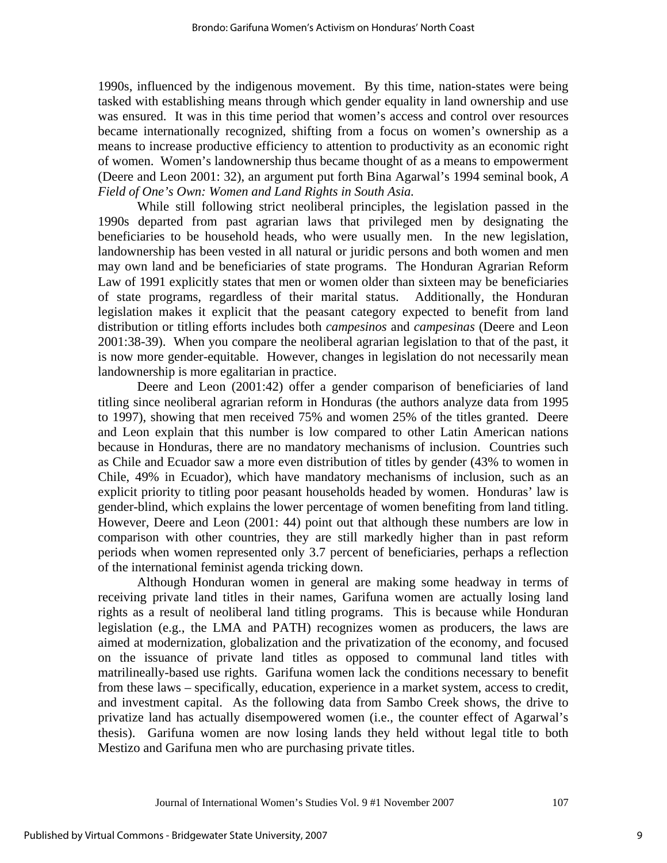1990s, influenced by the indigenous movement. By this time, nation-states were being tasked with establishing means through which gender equality in land ownership and use was ensured. It was in this time period that women's access and control over resources became internationally recognized, shifting from a focus on women's ownership as a means to increase productive efficiency to attention to productivity as an economic right of women. Women's landownership thus became thought of as a means to empowerment (Deere and Leon 2001: 32), an argument put forth Bina Agarwal's 1994 seminal book, *A Field of One's Own: Women and Land Rights in South Asia.* 

While still following strict neoliberal principles, the legislation passed in the 1990s departed from past agrarian laws that privileged men by designating the beneficiaries to be household heads, who were usually men. In the new legislation, landownership has been vested in all natural or juridic persons and both women and men may own land and be beneficiaries of state programs. The Honduran Agrarian Reform Law of 1991 explicitly states that men or women older than sixteen may be beneficiaries of state programs, regardless of their marital status. Additionally, the Honduran legislation makes it explicit that the peasant category expected to benefit from land distribution or titling efforts includes both *campesinos* and *campesinas* (Deere and Leon 2001:38-39). When you compare the neoliberal agrarian legislation to that of the past, it is now more gender-equitable. However, changes in legislation do not necessarily mean landownership is more egalitarian in practice.

Deere and Leon (2001:42) offer a gender comparison of beneficiaries of land titling since neoliberal agrarian reform in Honduras (the authors analyze data from 1995 to 1997), showing that men received 75% and women 25% of the titles granted. Deere and Leon explain that this number is low compared to other Latin American nations because in Honduras, there are no mandatory mechanisms of inclusion. Countries such as Chile and Ecuador saw a more even distribution of titles by gender (43% to women in Chile, 49% in Ecuador), which have mandatory mechanisms of inclusion, such as an explicit priority to titling poor peasant households headed by women. Honduras' law is gender-blind, which explains the lower percentage of women benefiting from land titling. However, Deere and Leon (2001: 44) point out that although these numbers are low in comparison with other countries, they are still markedly higher than in past reform periods when women represented only 3.7 percent of beneficiaries, perhaps a reflection of the international feminist agenda tricking down.

Although Honduran women in general are making some headway in terms of receiving private land titles in their names, Garifuna women are actually losing land rights as a result of neoliberal land titling programs. This is because while Honduran legislation (e.g., the LMA and PATH) recognizes women as producers, the laws are aimed at modernization, globalization and the privatization of the economy, and focused on the issuance of private land titles as opposed to communal land titles with matrilineally-based use rights. Garifuna women lack the conditions necessary to benefit from these laws – specifically, education, experience in a market system, access to credit, and investment capital. As the following data from Sambo Creek shows, the drive to privatize land has actually disempowered women (i.e., the counter effect of Agarwal's thesis). Garifuna women are now losing lands they held without legal title to both Mestizo and Garifuna men who are purchasing private titles.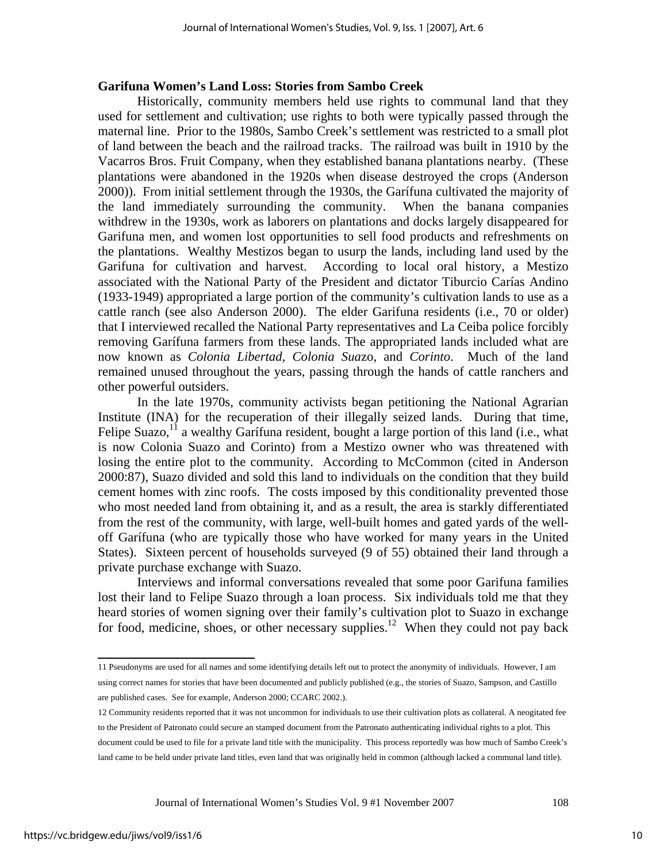#### **Garifuna Women's Land Loss: Stories from Sambo Creek**

 Historically, community members held use rights to communal land that they used for settlement and cultivation; use rights to both were typically passed through the maternal line. Prior to the 1980s, Sambo Creek's settlement was restricted to a small plot of land between the beach and the railroad tracks. The railroad was built in 1910 by the Vacarros Bros. Fruit Company, when they established banana plantations nearby. (These plantations were abandoned in the 1920s when disease destroyed the crops (Anderson 2000)). From initial settlement through the 1930s, the Garífuna cultivated the majority of the land immediately surrounding the community. When the banana companies withdrew in the 1930s, work as laborers on plantations and docks largely disappeared for Garifuna men, and women lost opportunities to sell food products and refreshments on the plantations. Wealthy Mestizos began to usurp the lands, including land used by the Garifuna for cultivation and harvest. According to local oral history, a Mestizo associated with the National Party of the President and dictator Tiburcio Carías Andino (1933-1949) appropriated a large portion of the community's cultivation lands to use as a cattle ranch (see also Anderson 2000). The elder Garifuna residents (i.e., 70 or older) that I interviewed recalled the National Party representatives and La Ceiba police forcibly removing Garífuna farmers from these lands. The appropriated lands included what are now known as *Colonia Libertad, Colonia Sua*zo, and *Corinto*. Much of the land remained unused throughout the years, passing through the hands of cattle ranchers and other powerful outsiders.

In the late 1970s, community activists began petitioning the National Agrarian Institute (INA) for the recuperation of their illegally seized lands. During that time, Felipe Suazo,<sup>11</sup> a wealthy Garífuna resident, bought a large portion of this land (i.e., what is now Colonia Suazo and Corinto) from a Mestizo owner who was threatened with losing the entire plot to the community. According to McCommon (cited in Anderson 2000:87), Suazo divided and sold this land to individuals on the condition that they build cement homes with zinc roofs. The costs imposed by this conditionality prevented those who most needed land from obtaining it, and as a result, the area is starkly differentiated from the rest of the community, with large, well-built homes and gated yards of the welloff Garífuna (who are typically those who have worked for many years in the United States). Sixteen percent of households surveyed (9 of 55) obtained their land through a private purchase exchange with Suazo.

Interviews and informal conversations revealed that some poor Garifuna families lost their land to Felipe Suazo through a loan process. Six individuals told me that they heard stories of women signing over their family's cultivation plot to Suazo in exchange for food, medicine, shoes, or other necessary supplies.<sup>12</sup> When they could not pay back

Journal of International Women's Studies Vol. 9 #1 November 2007 108

 11 Pseudonyms are used for all names and some identifying details left out to protect the anonymity of individuals. However, I am using correct names for stories that have been documented and publicly published (e.g., the stories of Suazo, Sampson, and Castillo are published cases. See for example, Anderson 2000; CCARC 2002.).

<sup>12</sup> Community residents reported that it was not uncommon for individuals to use their cultivation plots as collateral. A neogitated fee to the President of Patronato could secure an stamped document from the Patronato authenticating individual rights to a plot. This document could be used to file for a private land title with the municipality. This process reportedly was how much of Sambo Creek's land came to be held under private land titles, even land that was originally held in common (although lacked a communal land title).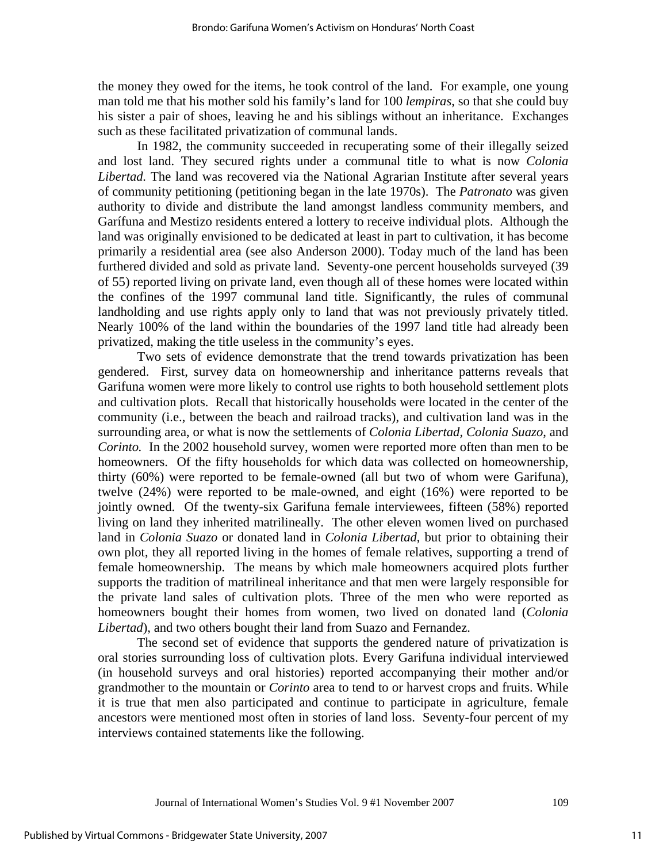the money they owed for the items, he took control of the land. For example, one young man told me that his mother sold his family's land for 100 *lempiras*, so that she could buy his sister a pair of shoes, leaving he and his siblings without an inheritance. Exchanges such as these facilitated privatization of communal lands.

In 1982, the community succeeded in recuperating some of their illegally seized and lost land. They secured rights under a communal title to what is now *Colonia Libertad.* The land was recovered via the National Agrarian Institute after several years of community petitioning (petitioning began in the late 1970s). The *Patronato* was given authority to divide and distribute the land amongst landless community members, and Garífuna and Mestizo residents entered a lottery to receive individual plots. Although the land was originally envisioned to be dedicated at least in part to cultivation, it has become primarily a residential area (see also Anderson 2000). Today much of the land has been furthered divided and sold as private land. Seventy-one percent households surveyed (39 of 55) reported living on private land, even though all of these homes were located within the confines of the 1997 communal land title. Significantly, the rules of communal landholding and use rights apply only to land that was not previously privately titled. Nearly 100% of the land within the boundaries of the 1997 land title had already been privatized, making the title useless in the community's eyes.

Two sets of evidence demonstrate that the trend towards privatization has been gendered. First, survey data on homeownership and inheritance patterns reveals that Garifuna women were more likely to control use rights to both household settlement plots and cultivation plots. Recall that historically households were located in the center of the community (i.e., between the beach and railroad tracks), and cultivation land was in the surrounding area, or what is now the settlements of *Colonia Libertad, Colonia Suazo*, and *Corinto.* In the 2002 household survey, women were reported more often than men to be homeowners. Of the fifty households for which data was collected on homeownership, thirty (60%) were reported to be female-owned (all but two of whom were Garifuna), twelve (24%) were reported to be male-owned, and eight (16%) were reported to be jointly owned. Of the twenty-six Garifuna female interviewees, fifteen (58%) reported living on land they inherited matrilineally. The other eleven women lived on purchased land in *Colonia Suazo* or donated land in *Colonia Libertad*, but prior to obtaining their own plot, they all reported living in the homes of female relatives, supporting a trend of female homeownership. The means by which male homeowners acquired plots further supports the tradition of matrilineal inheritance and that men were largely responsible for the private land sales of cultivation plots. Three of the men who were reported as homeowners bought their homes from women, two lived on donated land (*Colonia Libertad*), and two others bought their land from Suazo and Fernandez.

The second set of evidence that supports the gendered nature of privatization is oral stories surrounding loss of cultivation plots. Every Garifuna individual interviewed (in household surveys and oral histories) reported accompanying their mother and/or grandmother to the mountain or *Corinto* area to tend to or harvest crops and fruits. While it is true that men also participated and continue to participate in agriculture, female ancestors were mentioned most often in stories of land loss. Seventy-four percent of my interviews contained statements like the following.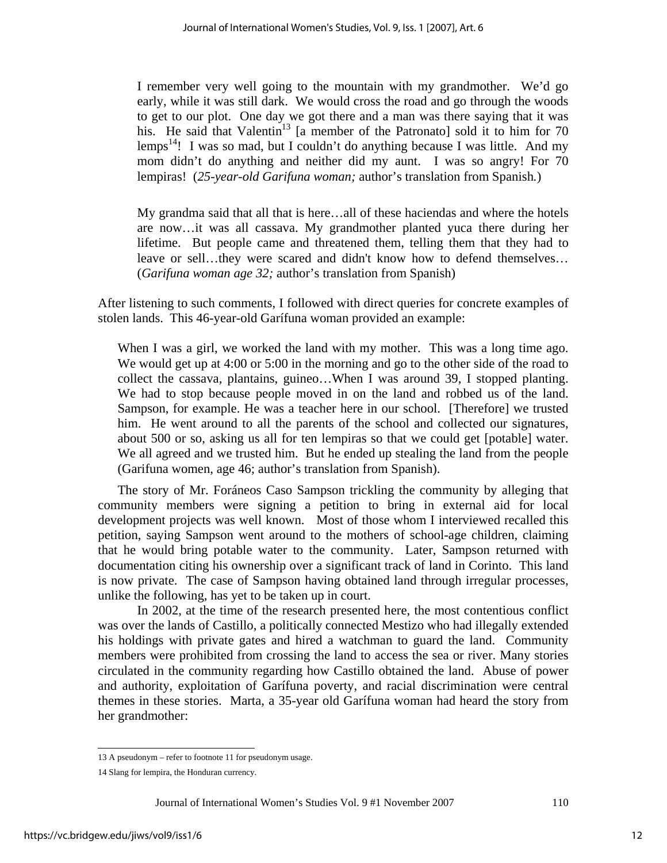I remember very well going to the mountain with my grandmother. We'd go early, while it was still dark. We would cross the road and go through the woods to get to our plot. One day we got there and a man was there saying that it was his. He said that Valentin<sup>13</sup> [a member of the Patronato] sold it to him for 70 lemps<sup>14</sup>! I was so mad, but I couldn't do anything because I was little. And my mom didn't do anything and neither did my aunt. I was so angry! For 70 lempiras! (*25-year-old Garifuna woman;* author's translation from Spanish*.*)

My grandma said that all that is here…all of these haciendas and where the hotels are now…it was all cassava. My grandmother planted yuca there during her lifetime. But people came and threatened them, telling them that they had to leave or sell…they were scared and didn't know how to defend themselves… (*Garifuna woman age 32;* author's translation from Spanish)

After listening to such comments, I followed with direct queries for concrete examples of stolen lands. This 46-year-old Garífuna woman provided an example:

When I was a girl, we worked the land with my mother. This was a long time ago. We would get up at 4:00 or 5:00 in the morning and go to the other side of the road to collect the cassava, plantains, guineo…When I was around 39, I stopped planting. We had to stop because people moved in on the land and robbed us of the land. Sampson, for example. He was a teacher here in our school. [Therefore] we trusted him. He went around to all the parents of the school and collected our signatures, about 500 or so, asking us all for ten lempiras so that we could get [potable] water. We all agreed and we trusted him. But he ended up stealing the land from the people (Garifuna women, age 46; author's translation from Spanish).

The story of Mr. Foráneos Caso Sampson trickling the community by alleging that community members were signing a petition to bring in external aid for local development projects was well known. Most of those whom I interviewed recalled this petition, saying Sampson went around to the mothers of school-age children, claiming that he would bring potable water to the community. Later, Sampson returned with documentation citing his ownership over a significant track of land in Corinto. This land is now private. The case of Sampson having obtained land through irregular processes, unlike the following, has yet to be taken up in court.

In 2002, at the time of the research presented here, the most contentious conflict was over the lands of Castillo, a politically connected Mestizo who had illegally extended his holdings with private gates and hired a watchman to guard the land. Community members were prohibited from crossing the land to access the sea or river. Many stories circulated in the community regarding how Castillo obtained the land. Abuse of power and authority, exploitation of Garífuna poverty, and racial discrimination were central themes in these stories. Marta, a 35-year old Garífuna woman had heard the story from her grandmother:

Journal of International Women's Studies Vol. 9 #1 November 2007 110

 13 A pseudonym – refer to footnote 11 for pseudonym usage.

<sup>14</sup> Slang for lempira, the Honduran currency.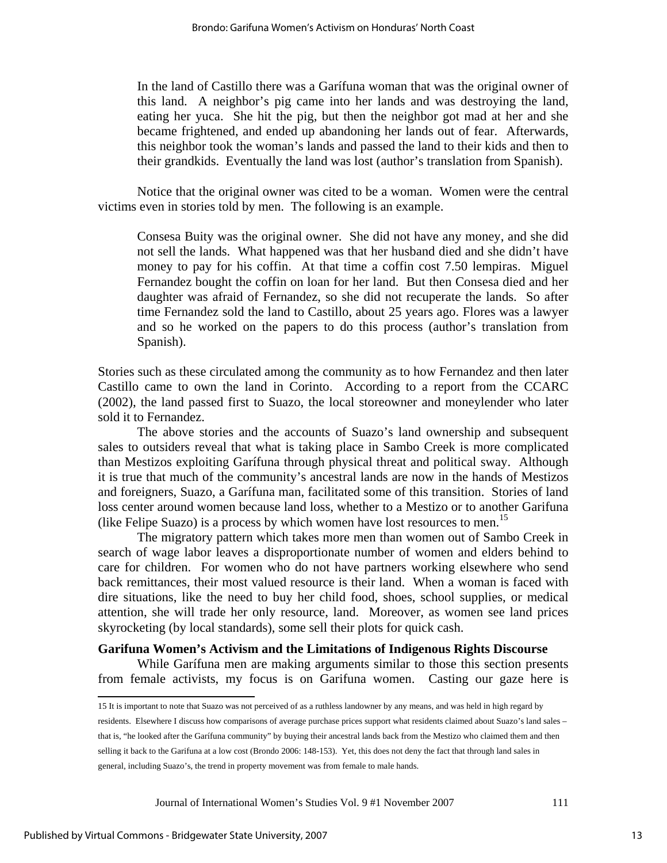In the land of Castillo there was a Garífuna woman that was the original owner of this land. A neighbor's pig came into her lands and was destroying the land, eating her yuca. She hit the pig, but then the neighbor got mad at her and she became frightened, and ended up abandoning her lands out of fear. Afterwards, this neighbor took the woman's lands and passed the land to their kids and then to their grandkids. Eventually the land was lost (author's translation from Spanish).

Notice that the original owner was cited to be a woman. Women were the central victims even in stories told by men. The following is an example.

Consesa Buity was the original owner. She did not have any money, and she did not sell the lands. What happened was that her husband died and she didn't have money to pay for his coffin. At that time a coffin cost 7.50 lempiras. Miguel Fernandez bought the coffin on loan for her land. But then Consesa died and her daughter was afraid of Fernandez, so she did not recuperate the lands. So after time Fernandez sold the land to Castillo, about 25 years ago. Flores was a lawyer and so he worked on the papers to do this process (author's translation from Spanish).

Stories such as these circulated among the community as to how Fernandez and then later Castillo came to own the land in Corinto. According to a report from the CCARC (2002), the land passed first to Suazo, the local storeowner and moneylender who later sold it to Fernandez.

The above stories and the accounts of Suazo's land ownership and subsequent sales to outsiders reveal that what is taking place in Sambo Creek is more complicated than Mestizos exploiting Garífuna through physical threat and political sway. Although it is true that much of the community's ancestral lands are now in the hands of Mestizos and foreigners, Suazo, a Garífuna man, facilitated some of this transition. Stories of land loss center around women because land loss, whether to a Mestizo or to another Garifuna (like Felipe Suazo) is a process by which women have lost resources to men.<sup>15</sup>

The migratory pattern which takes more men than women out of Sambo Creek in search of wage labor leaves a disproportionate number of women and elders behind to care for children. For women who do not have partners working elsewhere who send back remittances, their most valued resource is their land. When a woman is faced with dire situations, like the need to buy her child food, shoes, school supplies, or medical attention, she will trade her only resource, land. Moreover, as women see land prices skyrocketing (by local standards), some sell their plots for quick cash.

## **Garifuna Women's Activism and the Limitations of Indigenous Rights Discourse**

While Garífuna men are making arguments similar to those this section presents from female activists, my focus is on Garifuna women. Casting our gaze here is

 15 It is important to note that Suazo was not perceived of as a ruthless landowner by any means, and was held in high regard by residents. Elsewhere I discuss how comparisons of average purchase prices support what residents claimed about Suazo's land sales – that is, "he looked after the Garífuna community" by buying their ancestral lands back from the Mestizo who claimed them and then selling it back to the Garifuna at a low cost (Brondo 2006: 148-153). Yet, this does not deny the fact that through land sales in general, including Suazo's, the trend in property movement was from female to male hands.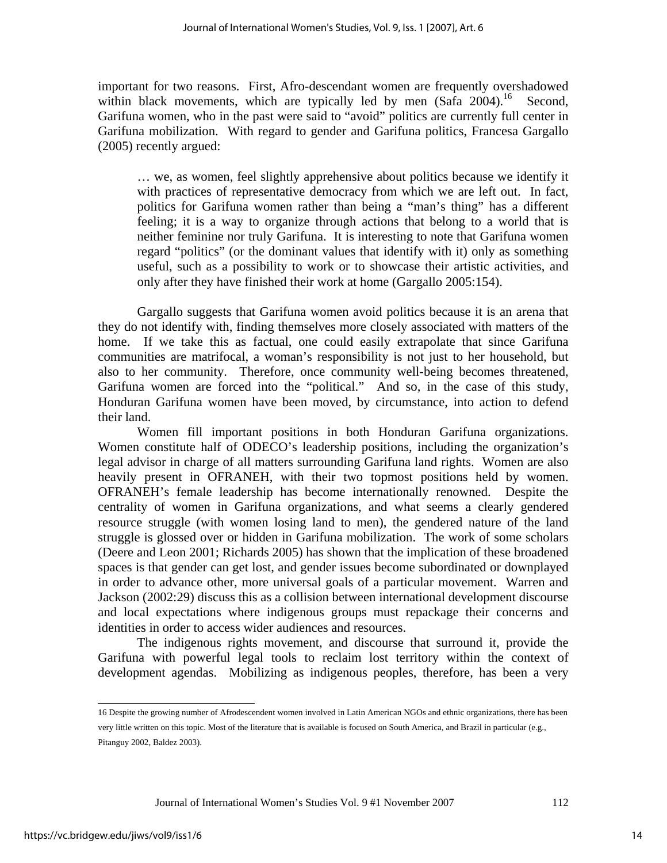important for two reasons. First, Afro-descendant women are frequently overshadowed within black movements, which are typically led by men  $(Safa 2004).$ <sup>16</sup> Second, Garifuna women, who in the past were said to "avoid" politics are currently full center in Garifuna mobilization. With regard to gender and Garifuna politics, Francesa Gargallo (2005) recently argued:

… we, as women, feel slightly apprehensive about politics because we identify it with practices of representative democracy from which we are left out. In fact, politics for Garifuna women rather than being a "man's thing" has a different feeling; it is a way to organize through actions that belong to a world that is neither feminine nor truly Garifuna. It is interesting to note that Garifuna women regard "politics" (or the dominant values that identify with it) only as something useful, such as a possibility to work or to showcase their artistic activities, and only after they have finished their work at home (Gargallo 2005:154).

Gargallo suggests that Garifuna women avoid politics because it is an arena that they do not identify with, finding themselves more closely associated with matters of the home. If we take this as factual, one could easily extrapolate that since Garifuna communities are matrifocal, a woman's responsibility is not just to her household, but also to her community. Therefore, once community well-being becomes threatened, Garifuna women are forced into the "political." And so, in the case of this study, Honduran Garifuna women have been moved, by circumstance, into action to defend their land.

Women fill important positions in both Honduran Garifuna organizations. Women constitute half of ODECO's leadership positions, including the organization's legal advisor in charge of all matters surrounding Garifuna land rights. Women are also heavily present in OFRANEH, with their two topmost positions held by women. OFRANEH's female leadership has become internationally renowned. Despite the centrality of women in Garifuna organizations, and what seems a clearly gendered resource struggle (with women losing land to men), the gendered nature of the land struggle is glossed over or hidden in Garifuna mobilization. The work of some scholars (Deere and Leon 2001; Richards 2005) has shown that the implication of these broadened spaces is that gender can get lost, and gender issues become subordinated or downplayed in order to advance other, more universal goals of a particular movement. Warren and Jackson (2002:29) discuss this as a collision between international development discourse and local expectations where indigenous groups must repackage their concerns and identities in order to access wider audiences and resources.

The indigenous rights movement, and discourse that surround it, provide the Garifuna with powerful legal tools to reclaim lost territory within the context of development agendas. Mobilizing as indigenous peoples, therefore, has been a very

 16 Despite the growing number of Afrodescendent women involved in Latin American NGOs and ethnic organizations, there has been very little written on this topic. Most of the literature that is available is focused on South America, and Brazil in particular (e.g., Pitanguy 2002, Baldez 2003).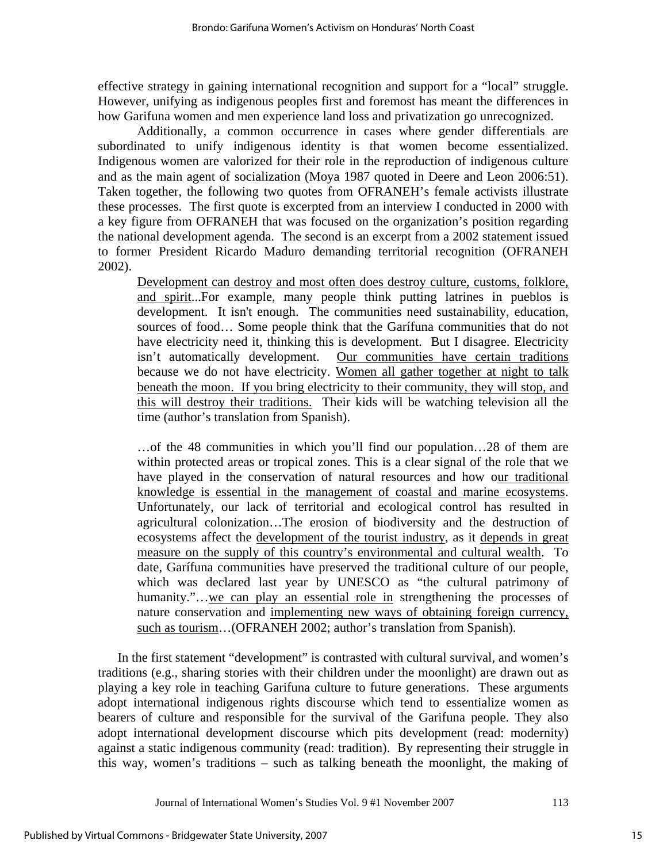effective strategy in gaining international recognition and support for a "local" struggle. However, unifying as indigenous peoples first and foremost has meant the differences in how Garifuna women and men experience land loss and privatization go unrecognized.

Additionally, a common occurrence in cases where gender differentials are subordinated to unify indigenous identity is that women become essentialized. Indigenous women are valorized for their role in the reproduction of indigenous culture and as the main agent of socialization (Moya 1987 quoted in Deere and Leon 2006:51). Taken together, the following two quotes from OFRANEH's female activists illustrate these processes. The first quote is excerpted from an interview I conducted in 2000 with a key figure from OFRANEH that was focused on the organization's position regarding the national development agenda. The second is an excerpt from a 2002 statement issued to former President Ricardo Maduro demanding territorial recognition (OFRANEH 2002).

Development can destroy and most often does destroy culture, customs, folklore, and spirit...For example, many people think putting latrines in pueblos is development. It isn't enough. The communities need sustainability, education, sources of food… Some people think that the Garífuna communities that do not have electricity need it, thinking this is development. But I disagree. Electricity isn't automatically development. Our communities have certain traditions because we do not have electricity. Women all gather together at night to talk beneath the moon. If you bring electricity to their community, they will stop, and this will destroy their traditions. Their kids will be watching television all the time (author's translation from Spanish).

…of the 48 communities in which you'll find our population…28 of them are within protected areas or tropical zones. This is a clear signal of the role that we have played in the conservation of natural resources and how our traditional knowledge is essential in the management of coastal and marine ecosystems. Unfortunately, our lack of territorial and ecological control has resulted in agricultural colonization…The erosion of biodiversity and the destruction of ecosystems affect the development of the tourist industry, as it depends in great measure on the supply of this country's environmental and cultural wealth. To date, Garífuna communities have preserved the traditional culture of our people, which was declared last year by UNESCO as "the cultural patrimony of humanity."...we can play an essential role in strengthening the processes of nature conservation and implementing new ways of obtaining foreign currency, such as tourism...(OFRANEH 2002; author's translation from Spanish).

In the first statement "development" is contrasted with cultural survival, and women's traditions (e.g., sharing stories with their children under the moonlight) are drawn out as playing a key role in teaching Garifuna culture to future generations. These arguments adopt international indigenous rights discourse which tend to essentialize women as bearers of culture and responsible for the survival of the Garifuna people. They also adopt international development discourse which pits development (read: modernity) against a static indigenous community (read: tradition). By representing their struggle in this way, women's traditions – such as talking beneath the moonlight, the making of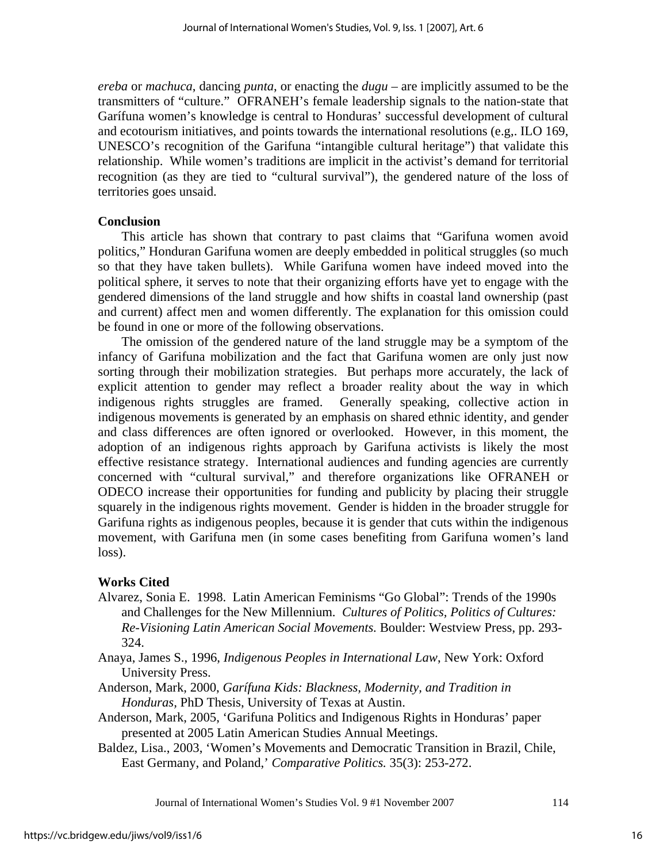*ereba* or *machuca*, dancing *punta*, or enacting the *dugu* – are implicitly assumed to be the transmitters of "culture." OFRANEH's female leadership signals to the nation-state that Garífuna women's knowledge is central to Honduras' successful development of cultural and ecotourism initiatives, and points towards the international resolutions (e.g,. ILO 169, UNESCO's recognition of the Garifuna "intangible cultural heritage") that validate this relationship. While women's traditions are implicit in the activist's demand for territorial recognition (as they are tied to "cultural survival"), the gendered nature of the loss of territories goes unsaid.

## **Conclusion**

 This article has shown that contrary to past claims that "Garifuna women avoid politics," Honduran Garifuna women are deeply embedded in political struggles (so much so that they have taken bullets). While Garifuna women have indeed moved into the political sphere, it serves to note that their organizing efforts have yet to engage with the gendered dimensions of the land struggle and how shifts in coastal land ownership (past and current) affect men and women differently. The explanation for this omission could be found in one or more of the following observations.

 The omission of the gendered nature of the land struggle may be a symptom of the infancy of Garifuna mobilization and the fact that Garifuna women are only just now sorting through their mobilization strategies. But perhaps more accurately, the lack of explicit attention to gender may reflect a broader reality about the way in which indigenous rights struggles are framed. Generally speaking, collective action in indigenous movements is generated by an emphasis on shared ethnic identity, and gender and class differences are often ignored or overlooked. However, in this moment, the adoption of an indigenous rights approach by Garifuna activists is likely the most effective resistance strategy. International audiences and funding agencies are currently concerned with "cultural survival," and therefore organizations like OFRANEH or ODECO increase their opportunities for funding and publicity by placing their struggle squarely in the indigenous rights movement. Gender is hidden in the broader struggle for Garifuna rights as indigenous peoples, because it is gender that cuts within the indigenous movement, with Garifuna men (in some cases benefiting from Garifuna women's land loss).

## **Works Cited**

- Alvarez, Sonia E. 1998. Latin American Feminisms "Go Global": Trends of the 1990s and Challenges for the New Millennium. *Cultures of Politics, Politics of Cultures: Re-Visioning Latin American Social Movements.* Boulder: Westview Press, pp. 293- 324.
- Anaya, James S., 1996, *Indigenous Peoples in International Law*, New York: Oxford University Press.
- Anderson, Mark, 2000, *Garífuna Kids: Blackness, Modernity, and Tradition in Honduras,* PhD Thesis, University of Texas at Austin.
- Anderson, Mark, 2005, 'Garifuna Politics and Indigenous Rights in Honduras' paper presented at 2005 Latin American Studies Annual Meetings.
- Baldez, Lisa., 2003, 'Women's Movements and Democratic Transition in Brazil, Chile, East Germany, and Poland,' *Comparative Politics.* 35(3): 253-272.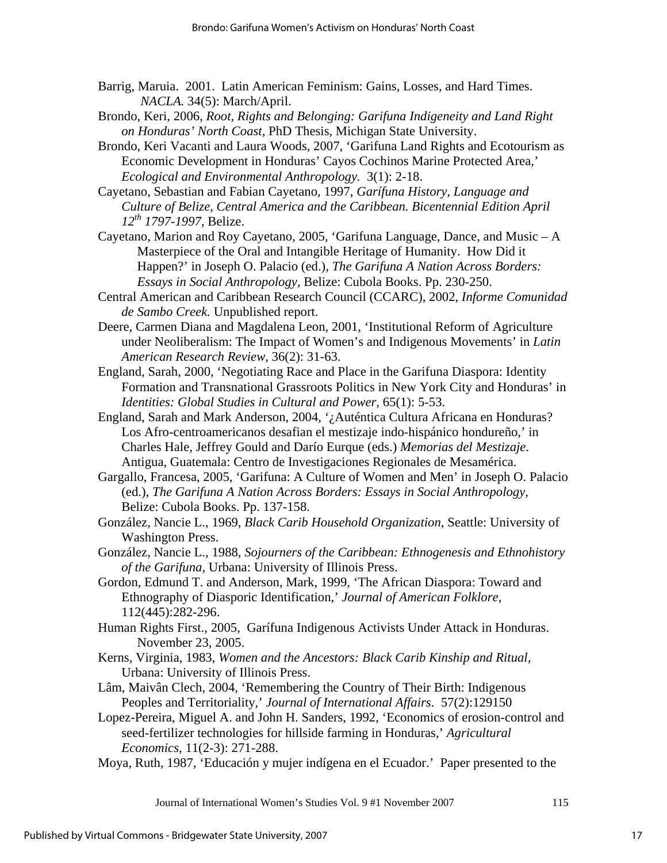- Barrig, Maruia. 2001. Latin American Feminism: Gains, Losses, and Hard Times. *NACLA.* 34(5): March/April.
- Brondo, Keri, 2006, *Root, Rights and Belonging: Garifuna Indigeneity and Land Right on Honduras' North Coast,* PhD Thesis, Michigan State University.
- Brondo, Keri Vacanti and Laura Woods, 2007, 'Garifuna Land Rights and Ecotourism as Economic Development in Honduras' Cayos Cochinos Marine Protected Area,' *Ecological and Environmental Anthropology.* 3(1): 2-18.
- Cayetano, Sebastian and Fabian Cayetano, 1997, *Garífuna History, Language and Culture of Belize, Central America and the Caribbean. Bicentennial Edition April 12th 1797-1997*, Belize.
- Cayetano, Marion and Roy Cayetano, 2005, 'Garifuna Language, Dance, and Music A Masterpiece of the Oral and Intangible Heritage of Humanity. How Did it Happen?' in Joseph O. Palacio (ed.), *The Garifuna A Nation Across Borders: Essays in Social Anthropology,* Belize: Cubola Books. Pp. 230-250.
- Central American and Caribbean Research Council (CCARC), 2002, *Informe Comunidad de Sambo Creek.* Unpublished report.
- Deere, Carmen Diana and Magdalena Leon, 2001, 'Institutional Reform of Agriculture under Neoliberalism: The Impact of Women's and Indigenous Movements' in *Latin American Research Review*, 36(2): 31-63.
- England, Sarah, 2000, 'Negotiating Race and Place in the Garifuna Diaspora: Identity Formation and Transnational Grassroots Politics in New York City and Honduras' in *Identities: Global Studies in Cultural and Power,* 65(1): 5-53.
- England, Sarah and Mark Anderson, 2004, '¿Auténtica Cultura Africana en Honduras? Los Afro-centroamericanos desafian el mestizaje indo-hispánico hondureño,' in Charles Hale, Jeffrey Gould and Darío Eurque (eds.) *Memorias del Mestizaje*. Antigua, Guatemala: Centro de Investigaciones Regionales de Mesamérica.
- Gargallo, Francesa, 2005, 'Garifuna: A Culture of Women and Men' in Joseph O. Palacio (ed.), *The Garifuna A Nation Across Borders: Essays in Social Anthropology,*  Belize: Cubola Books. Pp. 137-158.
- González, Nancie L., 1969, *Black Carib Household Organization*, Seattle: University of Washington Press.
- González, Nancie L., 1988, *Sojourners of the Caribbean: Ethnogenesis and Ethnohistory of the Garifuna,* Urbana: University of Illinois Press.
- Gordon, Edmund T. and Anderson, Mark, 1999, 'The African Diaspora: Toward and Ethnography of Diasporic Identification,' *Journal of American Folklore,*  112(445):282-296.
- Human Rights First., 2005, Garífuna Indigenous Activists Under Attack in Honduras. November 23, 2005.
- Kerns, Virginia, 1983, *Women and the Ancestors: Black Carib Kinship and Ritual,*  Urbana: University of Illinois Press.
- Lâm, Maivân Clech, 2004, 'Remembering the Country of Their Birth: Indigenous Peoples and Territoriality,' *Journal of International Affairs*. 57(2):129150
- Lopez-Pereira, Miguel A. and John H. Sanders, 1992, 'Economics of erosion-control and seed-fertilizer technologies for hillside farming in Honduras,' *Agricultural Economics,* 11(2-3): 271-288.
- Moya, Ruth, 1987, 'Educación y mujer indígena en el Ecuador.' Paper presented to the